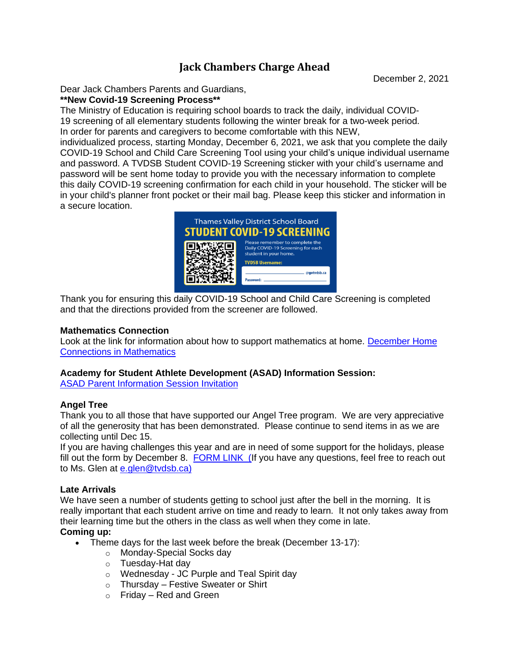# **Jack Chambers Charge Ahead**

December 2, 2021

Dear Jack Chambers Parents and Guardians,

**\*\*New Covid-19 Screening Process\*\***

The Ministry of Education is requiring school boards to track the daily, individual COVID-19 screening of all elementary students following the winter break for a two-week period. In order for parents and caregivers to become comfortable with this NEW,

individualized process, starting Monday, December 6, 2021, we ask that you complete the daily COVID-19 School and Child Care Screening Tool using your child's unique individual username and password. A TVDSB Student COVID-19 Screening sticker with your child's username and password will be sent home today to provide you with the necessary information to complete this daily COVID-19 screening confirmation for each child in your household. The sticker will be in your child's planner front pocket or their mail bag. Please keep this sticker and information in a secure location.



Thank you for ensuring this daily COVID-19 School and Child Care Screening is completed and that the directions provided from the screener are followed.

#### **Mathematics Connection**

Look at the link for information about how to support mathematics at home. [December](https://tvdsbo365-my.sharepoint.com/:b:/g/personal/tv9003_tvdsb_ca/EdBDQEpI-WVBmN9uayPGG4EBdnM2hhMGi9vTysX0ZS-MDw?e=51qsOd) Home Connections in [Mathematics](https://tvdsbo365-my.sharepoint.com/:b:/g/personal/tv9003_tvdsb_ca/EdBDQEpI-WVBmN9uayPGG4EBdnM2hhMGi9vTysX0ZS-MDw?e=51qsOd)

## **Academy for Student Athlete Development (ASAD) Information Session:**

ASAD Parent [Information](https://tvdsbo365-my.sharepoint.com/:b:/g/personal/tv16739_tvdsb_ca/EQoTcN02fNdOjbKCW6YNhxsBmgHawyWrPH8x1A4X-GR2qQ?e=k6IxlU) Session Invitation

## **Angel Tree**

Thank you to all those that have supported our Angel Tree program. We are very appreciative of all the generosity that has been demonstrated. Please continue to send items in as we are collecting until Dec 15.

If you are having challenges this year and are in need of some support for the holidays, please fill out the form by December 8. FORM [LINK \(I](https://docs.google.com/forms/d/e/1FAIpQLSc4Hc8srV-Zs8U8PYoVjf4Ojhev-9wu5RBpZ_wF8EMECIuZyQ/viewform?usp=sf_link)f you have any questions, feel free to reach out to Ms. Glen at [e.glen@tvdsb.ca\)](mailto:e.glen@tvdsb.ca)

## **Late Arrivals**

We have seen a number of students getting to school just after the bell in the morning. It is really important that each student arrive on time and ready to learn. It not only takes away from their learning time but the others in the class as well when they come in late.

## **Coming up:**

- Theme days for the last week before the break (December 13-17):
	- o Monday-Special Socks day
	- o Tuesday-Hat day
	- o Wednesday JC Purple and Teal Spirit day
	- $\circ$  Thursday Festive Sweater or Shirt
	- $\circ$  Friday Red and Green